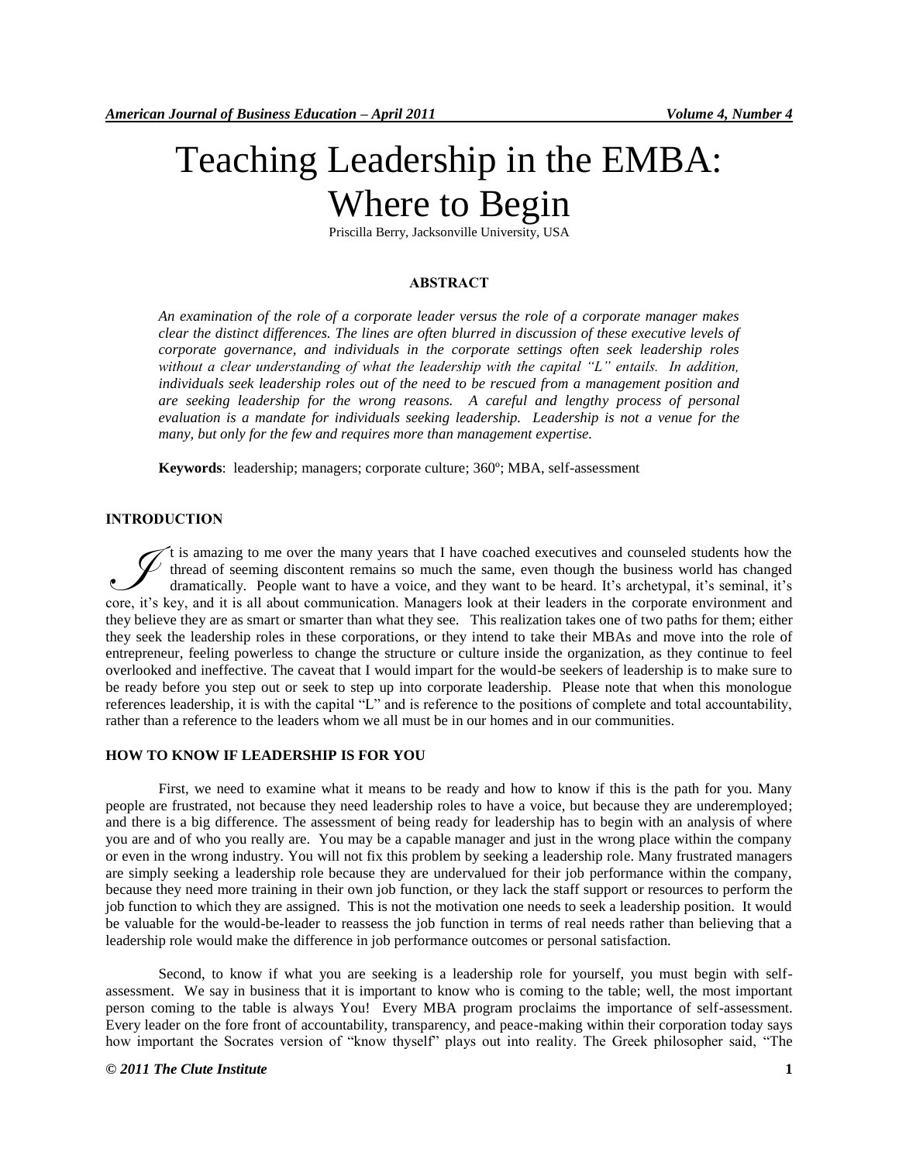# Teaching Leadership in the EMBA: Where to Begin

Priscilla Berry, Jacksonville University, USA

#### **ABSTRACT**

*An examination of the role of a corporate leader versus the role of a corporate manager makes clear the distinct differences. The lines are often blurred in discussion of these executive levels of corporate governance, and individuals in the corporate settings often seek leadership roles*  without a clear understanding of what the leadership with the capital "L" entails. In addition, *individuals seek leadership roles out of the need to be rescued from a management position and are seeking leadership for the wrong reasons. A careful and lengthy process of personal evaluation is a mandate for individuals seeking leadership. Leadership is not a venue for the many, but only for the few and requires more than management expertise.* 

**Keywords**: leadership; managers; corporate culture; 360º; MBA, self-assessment

# **INTRODUCTION**

t is amazing to me over the many years that I have coached executives and counseled students how the thread of seeming discontent remains so much the same, even though the business world has changed dramatically. People want to have a voice, and they want to be heard. It's archetypal, it's seminal, it's The is amazing to me over the many years that I have coached executives and counseled students how the thread of seeming discontent remains so much the same, even though the business world has changed dramatically. People they believe they are as smart or smarter than what they see. This realization takes one of two paths for them; either they seek the leadership roles in these corporations, or they intend to take their MBAs and move into the role of entrepreneur, feeling powerless to change the structure or culture inside the organization, as they continue to feel overlooked and ineffective. The caveat that I would impart for the would-be seekers of leadership is to make sure to be ready before you step out or seek to step up into corporate leadership. Please note that when this monologue references leadership, it is with the capital "L" and is reference to the positions of complete and total accountability, rather than a reference to the leaders whom we all must be in our homes and in our communities.

#### **HOW TO KNOW IF LEADERSHIP IS FOR YOU**

First, we need to examine what it means to be ready and how to know if this is the path for you. Many people are frustrated, not because they need leadership roles to have a voice, but because they are underemployed; and there is a big difference. The assessment of being ready for leadership has to begin with an analysis of where you are and of who you really are. You may be a capable manager and just in the wrong place within the company or even in the wrong industry. You will not fix this problem by seeking a leadership role. Many frustrated managers are simply seeking a leadership role because they are undervalued for their job performance within the company, because they need more training in their own job function, or they lack the staff support or resources to perform the job function to which they are assigned. This is not the motivation one needs to seek a leadership position. It would be valuable for the would-be-leader to reassess the job function in terms of real needs rather than believing that a leadership role would make the difference in job performance outcomes or personal satisfaction.

Second, to know if what you are seeking is a leadership role for yourself, you must begin with selfassessment. We say in business that it is important to know who is coming to the table; well, the most important person coming to the table is always You! Every MBA program proclaims the importance of self-assessment. Every leader on the fore front of accountability, transparency, and peace-making within their corporation today says how important the Socrates version of "know thyself" plays out into reality. The Greek philosopher said, "The

### *© 2011 The Clute Institute* **1**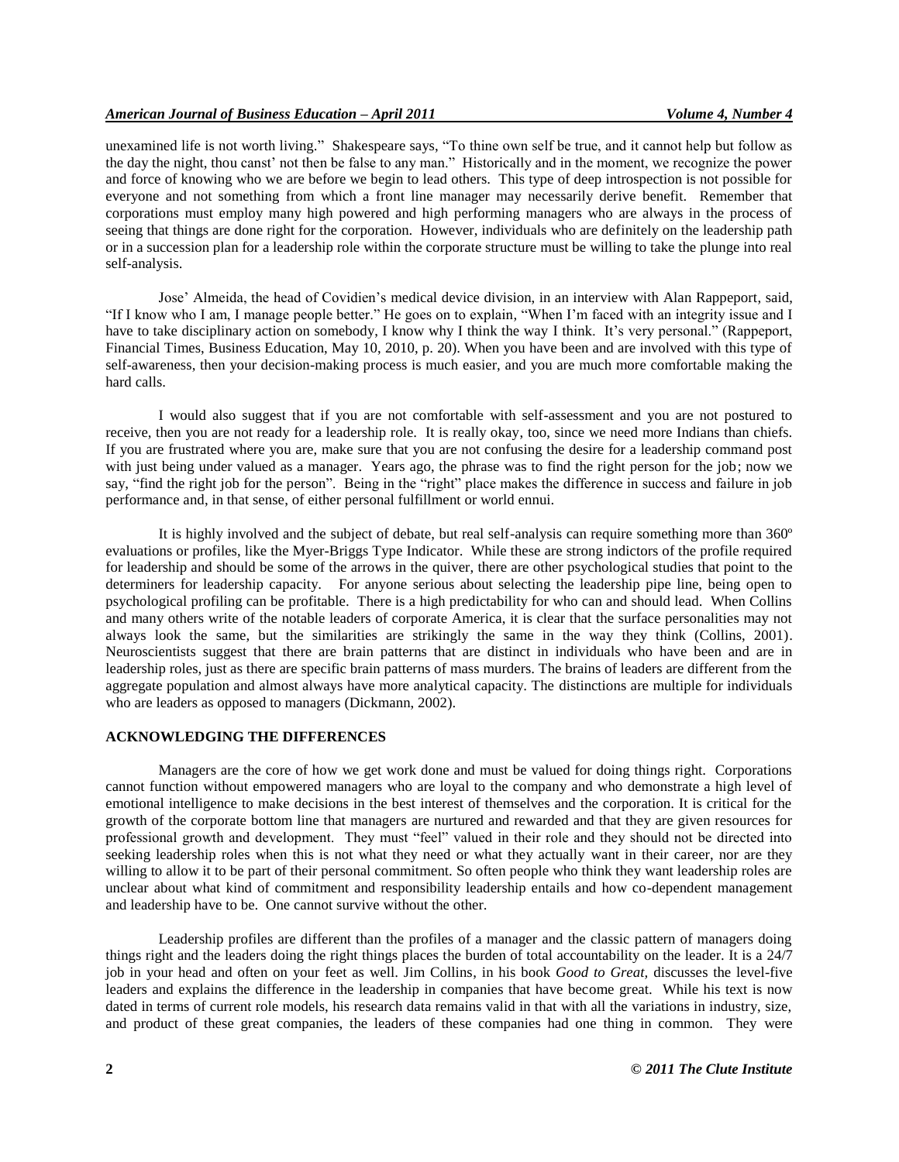unexamined life is not worth living." Shakespeare says, "To thine own self be true, and it cannot help but follow as the day the night, thou canst' not then be false to any man." Historically and in the moment, we recognize the power and force of knowing who we are before we begin to lead others. This type of deep introspection is not possible for everyone and not something from which a front line manager may necessarily derive benefit. Remember that corporations must employ many high powered and high performing managers who are always in the process of seeing that things are done right for the corporation. However, individuals who are definitely on the leadership path or in a succession plan for a leadership role within the corporate structure must be willing to take the plunge into real self-analysis.

Jose' Almeida, the head of Covidien's medical device division, in an interview with Alan Rappeport, said, "If I know who I am, I manage people better." He goes on to explain, "When I'm faced with an integrity issue and I have to take disciplinary action on somebody, I know why I think the way I think. It's very personal." (Rappeport, Financial Times, Business Education, May 10, 2010, p. 20). When you have been and are involved with this type of self-awareness, then your decision-making process is much easier, and you are much more comfortable making the hard calls.

I would also suggest that if you are not comfortable with self-assessment and you are not postured to receive, then you are not ready for a leadership role. It is really okay, too, since we need more Indians than chiefs. If you are frustrated where you are, make sure that you are not confusing the desire for a leadership command post with just being under valued as a manager. Years ago, the phrase was to find the right person for the job; now we say, "find the right job for the person". Being in the "right" place makes the difference in success and failure in job performance and, in that sense, of either personal fulfillment or world ennui.

It is highly involved and the subject of debate, but real self-analysis can require something more than 360º evaluations or profiles, like the Myer-Briggs Type Indicator. While these are strong indictors of the profile required for leadership and should be some of the arrows in the quiver, there are other psychological studies that point to the determiners for leadership capacity. For anyone serious about selecting the leadership pipe line, being open to psychological profiling can be profitable. There is a high predictability for who can and should lead. When Collins and many others write of the notable leaders of corporate America, it is clear that the surface personalities may not always look the same, but the similarities are strikingly the same in the way they think (Collins, 2001). Neuroscientists suggest that there are brain patterns that are distinct in individuals who have been and are in leadership roles, just as there are specific brain patterns of mass murders. The brains of leaders are different from the aggregate population and almost always have more analytical capacity. The distinctions are multiple for individuals who are leaders as opposed to managers (Dickmann, 2002).

#### **ACKNOWLEDGING THE DIFFERENCES**

Managers are the core of how we get work done and must be valued for doing things right. Corporations cannot function without empowered managers who are loyal to the company and who demonstrate a high level of emotional intelligence to make decisions in the best interest of themselves and the corporation. It is critical for the growth of the corporate bottom line that managers are nurtured and rewarded and that they are given resources for professional growth and development. They must "feel" valued in their role and they should not be directed into seeking leadership roles when this is not what they need or what they actually want in their career, nor are they willing to allow it to be part of their personal commitment. So often people who think they want leadership roles are unclear about what kind of commitment and responsibility leadership entails and how co-dependent management and leadership have to be. One cannot survive without the other.

Leadership profiles are different than the profiles of a manager and the classic pattern of managers doing things right and the leaders doing the right things places the burden of total accountability on the leader. It is a 24/7 job in your head and often on your feet as well. Jim Collins, in his book *Good to Great,* discusses the level-five leaders and explains the difference in the leadership in companies that have become great. While his text is now dated in terms of current role models, his research data remains valid in that with all the variations in industry, size, and product of these great companies, the leaders of these companies had one thing in common. They were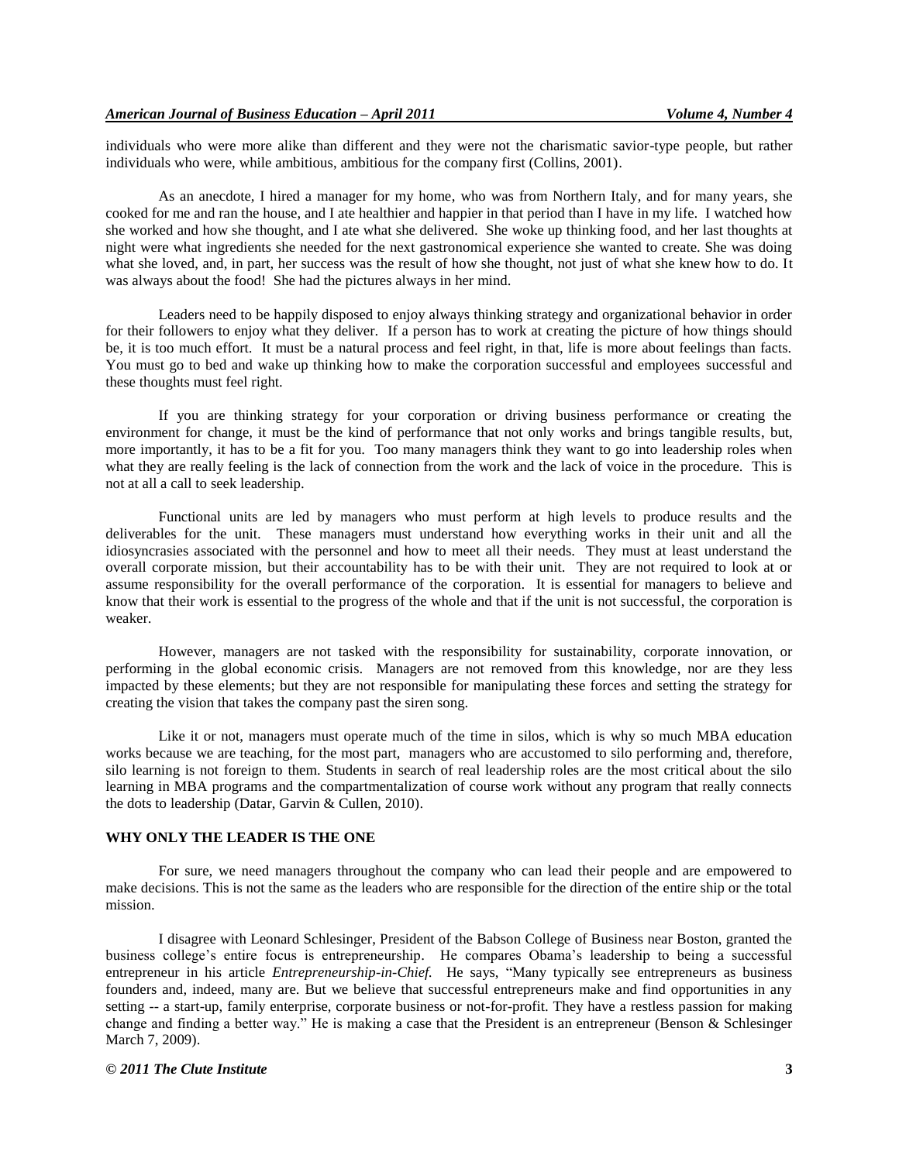individuals who were more alike than different and they were not the charismatic savior-type people, but rather individuals who were, while ambitious, ambitious for the company first (Collins, 2001).

As an anecdote, I hired a manager for my home, who was from Northern Italy, and for many years, she cooked for me and ran the house, and I ate healthier and happier in that period than I have in my life. I watched how she worked and how she thought, and I ate what she delivered. She woke up thinking food, and her last thoughts at night were what ingredients she needed for the next gastronomical experience she wanted to create. She was doing what she loved, and, in part, her success was the result of how she thought, not just of what she knew how to do. It was always about the food! She had the pictures always in her mind.

Leaders need to be happily disposed to enjoy always thinking strategy and organizational behavior in order for their followers to enjoy what they deliver. If a person has to work at creating the picture of how things should be, it is too much effort. It must be a natural process and feel right, in that, life is more about feelings than facts. You must go to bed and wake up thinking how to make the corporation successful and employees successful and these thoughts must feel right.

If you are thinking strategy for your corporation or driving business performance or creating the environment for change, it must be the kind of performance that not only works and brings tangible results, but, more importantly, it has to be a fit for you. Too many managers think they want to go into leadership roles when what they are really feeling is the lack of connection from the work and the lack of voice in the procedure. This is not at all a call to seek leadership.

Functional units are led by managers who must perform at high levels to produce results and the deliverables for the unit. These managers must understand how everything works in their unit and all the idiosyncrasies associated with the personnel and how to meet all their needs. They must at least understand the overall corporate mission, but their accountability has to be with their unit. They are not required to look at or assume responsibility for the overall performance of the corporation. It is essential for managers to believe and know that their work is essential to the progress of the whole and that if the unit is not successful, the corporation is weaker.

However, managers are not tasked with the responsibility for sustainability, corporate innovation, or performing in the global economic crisis. Managers are not removed from this knowledge, nor are they less impacted by these elements; but they are not responsible for manipulating these forces and setting the strategy for creating the vision that takes the company past the siren song.

Like it or not, managers must operate much of the time in silos, which is why so much MBA education works because we are teaching, for the most part, managers who are accustomed to silo performing and, therefore, silo learning is not foreign to them. Students in search of real leadership roles are the most critical about the silo learning in MBA programs and the compartmentalization of course work without any program that really connects the dots to leadership (Datar, Garvin & Cullen, 2010).

### **WHY ONLY THE LEADER IS THE ONE**

For sure, we need managers throughout the company who can lead their people and are empowered to make decisions. This is not the same as the leaders who are responsible for the direction of the entire ship or the total mission.

I disagree with Leonard Schlesinger, President of the Babson College of Business near Boston, granted the business college's entire focus is entrepreneurship. He compares Obama's leadership to being a successful entrepreneur in his article *Entrepreneurship-in-Chief.* He says, "Many typically see entrepreneurs as business founders and, indeed, many are. But we believe that successful entrepreneurs make and find opportunities in any setting -- a start-up, family enterprise, corporate business or not-for-profit. They have a restless passion for making change and finding a better way." He is making a case that the President is an entrepreneur (Benson & Schlesinger March 7, 2009).

### *© 2011 The Clute Institute* **3**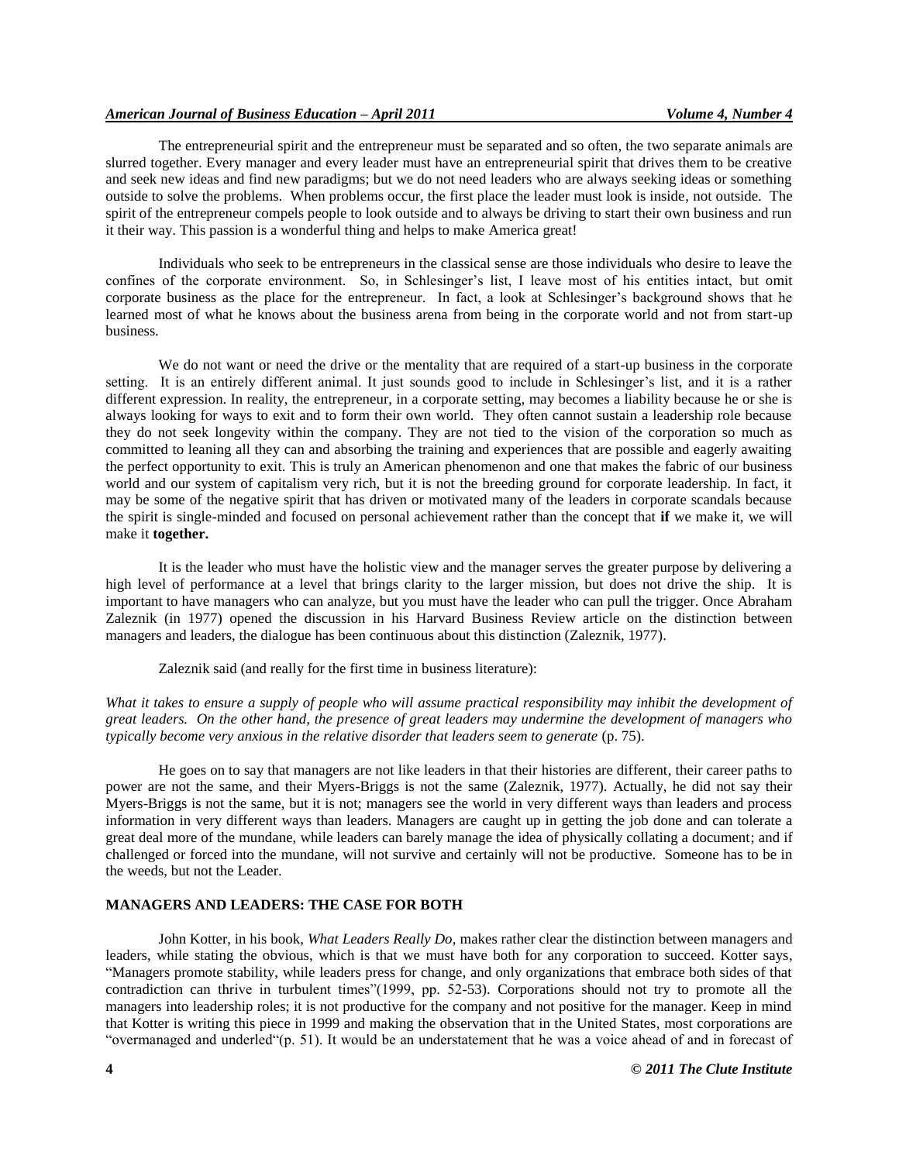# *American Journal of Business Education – April 2011 Volume 4, Number 4*

The entrepreneurial spirit and the entrepreneur must be separated and so often, the two separate animals are slurred together. Every manager and every leader must have an entrepreneurial spirit that drives them to be creative and seek new ideas and find new paradigms; but we do not need leaders who are always seeking ideas or something outside to solve the problems. When problems occur, the first place the leader must look is inside, not outside. The spirit of the entrepreneur compels people to look outside and to always be driving to start their own business and run it their way. This passion is a wonderful thing and helps to make America great!

Individuals who seek to be entrepreneurs in the classical sense are those individuals who desire to leave the confines of the corporate environment. So, in Schlesinger's list, I leave most of his entities intact, but omit corporate business as the place for the entrepreneur. In fact, a look at Schlesinger's background shows that he learned most of what he knows about the business arena from being in the corporate world and not from start-up business.

We do not want or need the drive or the mentality that are required of a start-up business in the corporate setting. It is an entirely different animal. It just sounds good to include in Schlesinger's list, and it is a rather different expression. In reality, the entrepreneur, in a corporate setting, may becomes a liability because he or she is always looking for ways to exit and to form their own world. They often cannot sustain a leadership role because they do not seek longevity within the company. They are not tied to the vision of the corporation so much as committed to leaning all they can and absorbing the training and experiences that are possible and eagerly awaiting the perfect opportunity to exit. This is truly an American phenomenon and one that makes the fabric of our business world and our system of capitalism very rich, but it is not the breeding ground for corporate leadership. In fact, it may be some of the negative spirit that has driven or motivated many of the leaders in corporate scandals because the spirit is single-minded and focused on personal achievement rather than the concept that **if** we make it, we will make it **together.**

It is the leader who must have the holistic view and the manager serves the greater purpose by delivering a high level of performance at a level that brings clarity to the larger mission, but does not drive the ship. It is important to have managers who can analyze, but you must have the leader who can pull the trigger. Once Abraham Zaleznik (in 1977) opened the discussion in his Harvard Business Review article on the distinction between managers and leaders, the dialogue has been continuous about this distinction (Zaleznik, 1977).

Zaleznik said (and really for the first time in business literature):

What it takes to ensure a supply of people who will assume practical responsibility may inhibit the development of *great leaders. On the other hand, the presence of great leaders may undermine the development of managers who typically become very anxious in the relative disorder that leaders seem to generate (p. 75).* 

He goes on to say that managers are not like leaders in that their histories are different, their career paths to power are not the same, and their Myers-Briggs is not the same (Zaleznik, 1977). Actually, he did not say their Myers-Briggs is not the same, but it is not; managers see the world in very different ways than leaders and process information in very different ways than leaders. Managers are caught up in getting the job done and can tolerate a great deal more of the mundane, while leaders can barely manage the idea of physically collating a document; and if challenged or forced into the mundane, will not survive and certainly will not be productive. Someone has to be in the weeds, but not the Leader.

# **MANAGERS AND LEADERS: THE CASE FOR BOTH**

John Kotter, in his book, *What Leaders Really Do,* makes rather clear the distinction between managers and leaders, while stating the obvious, which is that we must have both for any corporation to succeed. Kotter says, "Managers promote stability, while leaders press for change, and only organizations that embrace both sides of that contradiction can thrive in turbulent times"(1999, pp. 52-53). Corporations should not try to promote all the managers into leadership roles; it is not productive for the company and not positive for the manager. Keep in mind that Kotter is writing this piece in 1999 and making the observation that in the United States, most corporations are "overmanaged and underled"(p. 51). It would be an understatement that he was a voice ahead of and in forecast of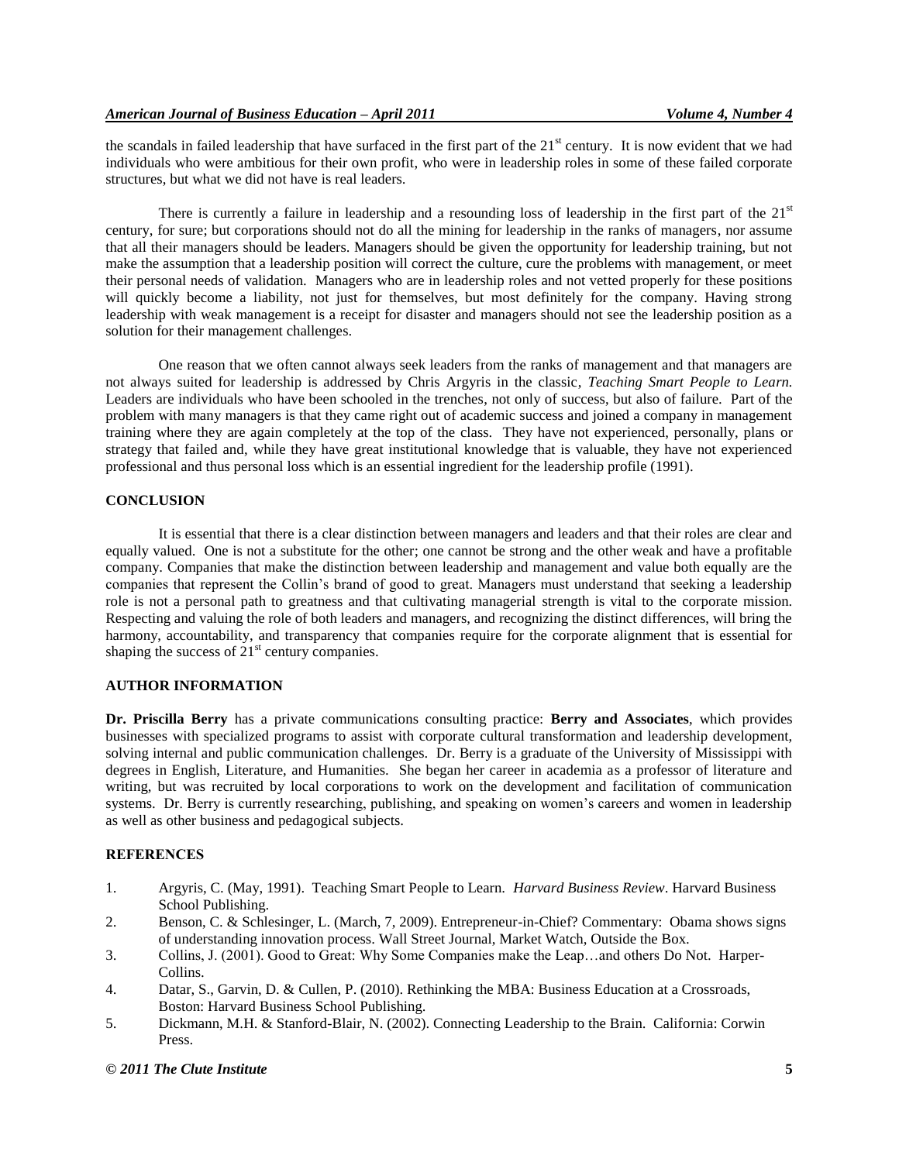the scandals in failed leadership that have surfaced in the first part of the  $21<sup>st</sup>$  century. It is now evident that we had individuals who were ambitious for their own profit, who were in leadership roles in some of these failed corporate structures, but what we did not have is real leaders.

There is currently a failure in leadership and a resounding loss of leadership in the first part of the  $21<sup>st</sup>$ century, for sure; but corporations should not do all the mining for leadership in the ranks of managers, nor assume that all their managers should be leaders. Managers should be given the opportunity for leadership training, but not make the assumption that a leadership position will correct the culture, cure the problems with management, or meet their personal needs of validation. Managers who are in leadership roles and not vetted properly for these positions will quickly become a liability, not just for themselves, but most definitely for the company. Having strong leadership with weak management is a receipt for disaster and managers should not see the leadership position as a solution for their management challenges.

One reason that we often cannot always seek leaders from the ranks of management and that managers are not always suited for leadership is addressed by Chris Argyris in the classic, *Teaching Smart People to Learn.* Leaders are individuals who have been schooled in the trenches, not only of success, but also of failure. Part of the problem with many managers is that they came right out of academic success and joined a company in management training where they are again completely at the top of the class. They have not experienced, personally, plans or strategy that failed and, while they have great institutional knowledge that is valuable, they have not experienced professional and thus personal loss which is an essential ingredient for the leadership profile (1991).

# **CONCLUSION**

It is essential that there is a clear distinction between managers and leaders and that their roles are clear and equally valued. One is not a substitute for the other; one cannot be strong and the other weak and have a profitable company. Companies that make the distinction between leadership and management and value both equally are the companies that represent the Collin's brand of good to great. Managers must understand that seeking a leadership role is not a personal path to greatness and that cultivating managerial strength is vital to the corporate mission. Respecting and valuing the role of both leaders and managers, and recognizing the distinct differences, will bring the harmony, accountability, and transparency that companies require for the corporate alignment that is essential for shaping the success of  $21<sup>st</sup>$  century companies.

# **AUTHOR INFORMATION**

**Dr. Priscilla Berry** has a private communications consulting practice: **Berry and Associates**, which provides businesses with specialized programs to assist with corporate cultural transformation and leadership development, solving internal and public communication challenges. Dr. Berry is a graduate of the University of Mississippi with degrees in English, Literature, and Humanities. She began her career in academia as a professor of literature and writing, but was recruited by local corporations to work on the development and facilitation of communication systems. Dr. Berry is currently researching, publishing, and speaking on women's careers and women in leadership as well as other business and pedagogical subjects.

# **REFERENCES**

- 1. Argyris, C. (May, 1991). Teaching Smart People to Learn. *Harvard Business Review*. Harvard Business School Publishing.
- 2. Benson, C. & Schlesinger, L. (March, 7, 2009). Entrepreneur-in-Chief? Commentary: Obama shows signs of understanding innovation process. Wall Street Journal, Market Watch, Outside the Box.
- 3. Collins, J. (2001). Good to Great: Why Some Companies make the Leap…and others Do Not. Harper-Collins.
- 4. Datar, S., Garvin, D. & Cullen, P. (2010). Rethinking the MBA: Business Education at a Crossroads, Boston: Harvard Business School Publishing.
- 5. Dickmann, M.H. & Stanford-Blair, N. (2002). Connecting Leadership to the Brain. California: Corwin Press.

#### *© 2011 The Clute Institute* **5**